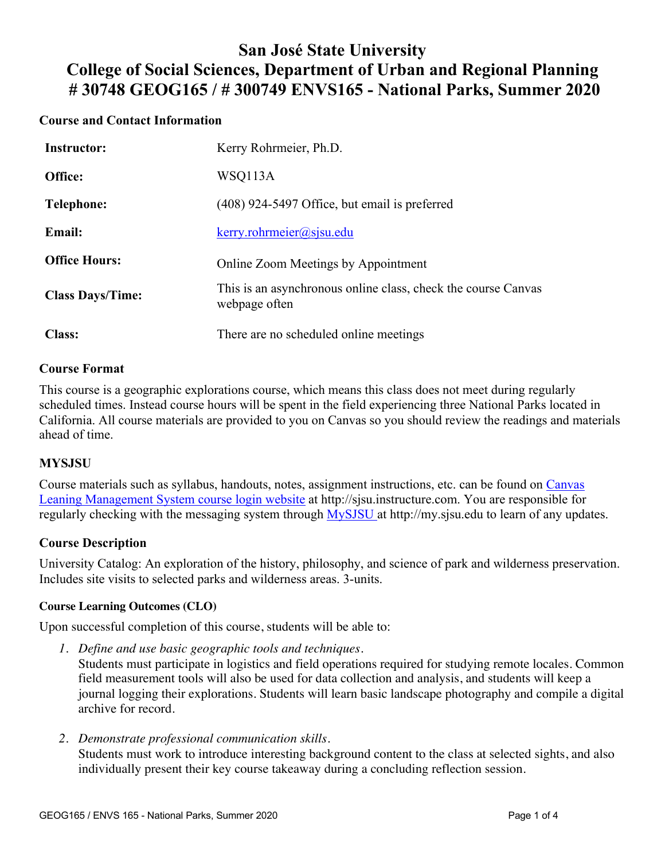## **San José State University College of Social Sciences, Department of Urban and Regional Planning # 30748 GEOG165 / # 300749 ENVS165 - National Parks, Summer 2020**

## **Course and Contact Information**

| <b>Instructor:</b>      | Kerry Rohrmeier, Ph.D.                                                         |
|-------------------------|--------------------------------------------------------------------------------|
| Office:                 | WSQ113A                                                                        |
| Telephone:              | (408) 924-5497 Office, but email is preferred                                  |
| <b>Email:</b>           | $\text{kerry}$ .rohrmeier@sjsu.edu                                             |
| <b>Office Hours:</b>    | Online Zoom Meetings by Appointment                                            |
| <b>Class Days/Time:</b> | This is an asynchronous online class, check the course Canvas<br>webpage often |
| <b>Class:</b>           | There are no scheduled online meetings                                         |

### **Course Format**

This course is a geographic explorations course, which means this class does not meet during regularly scheduled times. Instead course hours will be spent in the field experiencing three National Parks located in California. All course materials are provided to you on Canvas so you should review the readings and materials ahead of time.

### **MYSJSU**

Course materials such as syllabus, handouts, notes, assignment instructions, etc. can be found on Canvas Leaning Management System course login website at http://sjsu.instructure.com. You are responsible for regularly checking with the messaging system through MySJSU at http://my.sjsu.edu to learn of any updates.

## **Course Description**

University Catalog: An exploration of the history, philosophy, and science of park and wilderness preservation. Includes site visits to selected parks and wilderness areas. 3-units.

### **Course Learning Outcomes (CLO)**

Upon successful completion of this course, students will be able to:

*1. Define and use basic geographic tools and techniques.*

Students must participate in logistics and field operations required for studying remote locales. Common field measurement tools will also be used for data collection and analysis, and students will keep a journal logging their explorations. Students will learn basic landscape photography and compile a digital archive for record.

*2. Demonstrate professional communication skills.*

Students must work to introduce interesting background content to the class at selected sights, and also individually present their key course takeaway during a concluding reflection session.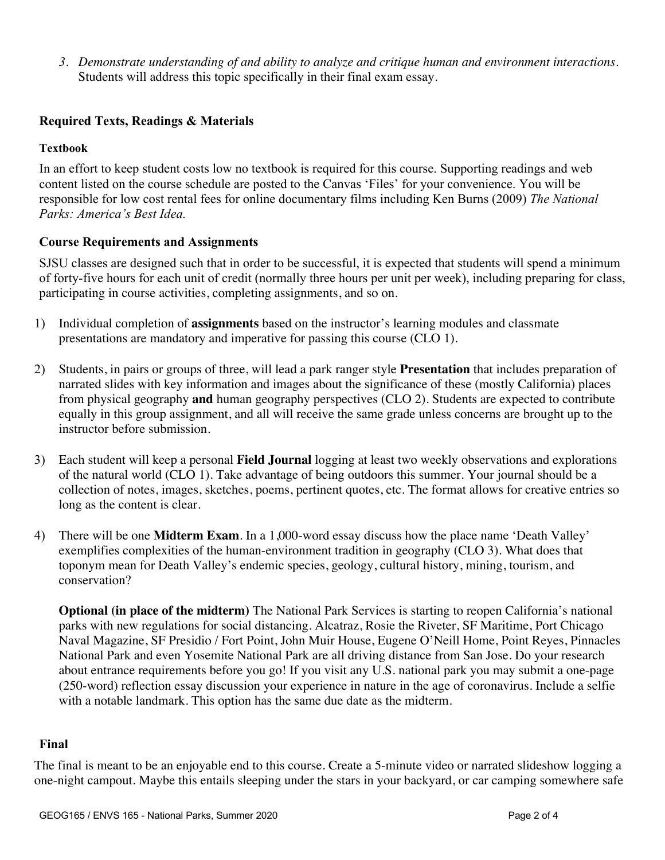*3. Demonstrate understanding of and ability to analyze and critique human and environment interactions.* Students will address this topic specifically in their final exam essay.

### **Required Texts, Readings & Materials**

### **Textbook**

In an effort to keep student costs low no textbook is required for this course. Supporting readings and web content listed on the course schedule are posted to the Canvas 'Files' for your convenience. You will be responsible for low cost rental fees for online documentary films including Ken Burns (2009) *The National Parks: America's Best Idea.*

### **Course Requirements and Assignments**

SJSU classes are designed such that in order to be successful, it is expected that students will spend a minimum of forty-five hours for each unit of credit (normally three hours per unit per week), including preparing for class, participating in course activities, completing assignments, and so on.

- 1) Individual completion of **assignments** based on the instructor's learning modules and classmate presentations are mandatory and imperative for passing this course (CLO 1).
- 2) Students, in pairs or groups of three, will lead a park ranger style **Presentation** that includes preparation of narrated slides with key information and images about the significance of these (mostly California) places from physical geography **and** human geography perspectives (CLO 2). Students are expected to contribute equally in this group assignment, and all will receive the same grade unless concerns are brought up to the instructor before submission.
- 3) Each student will keep a personal **Field Journal** logging at least two weekly observations and explorations of the natural world (CLO 1). Take advantage of being outdoors this summer. Your journal should be a collection of notes, images, sketches, poems, pertinent quotes, etc. The format allows for creative entries so long as the content is clear.
- 4) There will be one **Midterm Exam**. In a 1,000-word essay discuss how the place name 'Death Valley' exemplifies complexities of the human-environment tradition in geography (CLO 3). What does that toponym mean for Death Valley's endemic species, geology, cultural history, mining, tourism, and conservation?

**Optional (in place of the midterm)** The National Park Services is starting to reopen California's national parks with new regulations for social distancing. Alcatraz, Rosie the Riveter, SF Maritime, Port Chicago Naval Magazine, SF Presidio / Fort Point, John Muir House, Eugene O'Neill Home, Point Reyes, Pinnacles National Park and even Yosemite National Park are all driving distance from San Jose. Do your research about entrance requirements before you go! If you visit any U.S. national park you may submit a one-page (250-word) reflection essay discussion your experience in nature in the age of coronavirus. Include a selfie with a notable landmark. This option has the same due date as the midterm.

### **Final**

The final is meant to be an enjoyable end to this course. Create a 5-minute video or narrated slideshow logging a one-night campout. Maybe this entails sleeping under the stars in your backyard, or car camping somewhere safe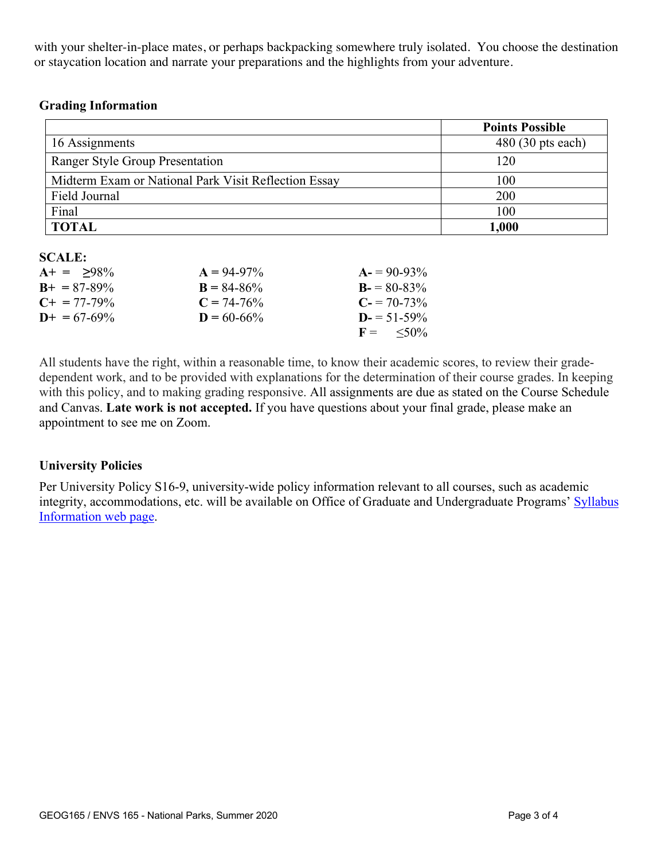with your shelter-in-place mates, or perhaps backpacking somewhere truly isolated. You choose the destination or staycation location and narrate your preparations and the highlights from your adventure.

### **Grading Information**

|                                                      | <b>Points Possible</b>     |
|------------------------------------------------------|----------------------------|
| 16 Assignments                                       | $480(30 \text{ pts each})$ |
| Ranger Style Group Presentation                      | 120                        |
| Midterm Exam or National Park Visit Reflection Essay | 100                        |
| Field Journal                                        | 200                        |
| Final                                                | 100                        |
| <b>TOTAL</b>                                         | 1,000                      |

#### **SCALE:**

| $A+ = 98\%$           | $A = 94-97\%$   | $A = 90-93\%$        |
|-----------------------|-----------------|----------------------|
| $B_{+} = 87 - 89\%$   | $B = 84 - 86\%$ | $B = 80-83\%$        |
| $C_{\pm} = 77 - 79\%$ | $C = 74-76%$    | $C = 70-73\%$        |
| $D+ = 67-69\%$        | $D = 60 - 66\%$ | $D = 51-59\%$        |
|                       |                 | $F = \frac{50\%}{6}$ |

All students have the right, within a reasonable time, to know their academic scores, to review their gradedependent work, and to be provided with explanations for the determination of their course grades. In keeping with this policy, and to making grading responsive. All assignments are due as stated on the Course Schedule and Canvas. **Late work is not accepted.** If you have questions about your final grade, please make an appointment to see me on Zoom.

### **University Policies**

Per University Policy S16-9, university-wide policy information relevant to all courses, such as academic integrity, accommodations, etc. will be available on Office of Graduate and Undergraduate Programs' Syllabus Information web page.